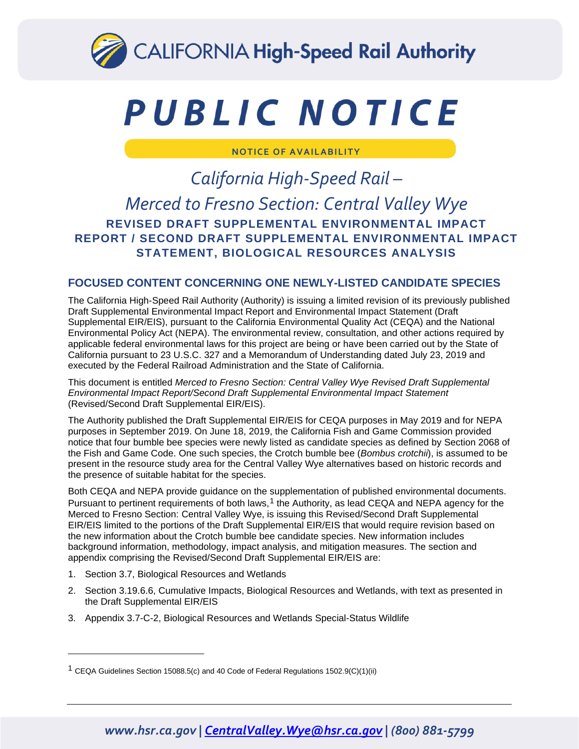

# PUBLIC NOTICE

**NOTICE OF AVAILABILITY**

## *California High-Speed Rail – Merced to Fresno Section: Central Valley Wye* **REVISED DRAFT SUPPLEMENTAL ENVIRONMENTAL IMPACT REPORT / SECOND DRAFT SUPPLEMENTAL ENVIRONMENTAL IMPACT STATEMENT, BIOLOGICAL RESOURCES ANALYSIS**

#### **FOCUSED CONTENT CONCERNING ONE NEWLY-LISTED CANDIDATE SPECIES**

The California High-Speed Rail Authority (Authority) is issuing a limited revision of its previously published Draft Supplemental Environmental Impact Report and Environmental Impact Statement (Draft Supplemental EIR/EIS), pursuant to the California Environmental Quality Act (CEQA) and the National Environmental Policy Act (NEPA). The environmental review, consultation, and other actions required by applicable federal environmental laws for this project are being or have been carried out by the State of California pursuant to 23 U.S.C. 327 and a Memorandum of Understanding dated July 23, 2019 and executed by the Federal Railroad Administration and the State of California.

This document is entitled *Merced to Fresno Section: Central Valley Wye Revised Draft Supplemental Environmental Impact Report/Second Draft Supplemental Environmental Impact Statement* (Revised/Second Draft Supplemental EIR/EIS).

The Authority published the Draft Supplemental EIR/EIS for CEQA purposes in May 2019 and for NEPA purposes in September 2019. On June 18, 2019, the California Fish and Game Commission provided notice that four bumble bee species were newly listed as candidate species as defined by Section 2068 of the Fish and Game Code. One such species, the Crotch bumble bee (*Bombus crotchii*), is assumed to be present in the resource study area for the Central Valley Wye alternatives based on historic records and the presence of suitable habitat for the species.

Both CEQA and NEPA provide guidance on the supplementation of published environmental documents. Pursuant to pertinent requirements of both laws,<sup>[1](#page-0-0)</sup> the Authority, as lead CEQA and NEPA agency for the Merced to Fresno Section: Central Valley Wye, is issuing this Revised/Second Draft Supplemental EIR/EIS limited to the portions of the Draft Supplemental EIR/EIS that would require revision based on the new information about the Crotch bumble bee candidate species. New information includes background information, methodology, impact analysis, and mitigation measures. The section and appendix comprising the Revised/Second Draft Supplemental EIR/EIS are:

- 1. Section 3.7, Biological Resources and Wetlands
- 2. Section 3.19.6.6, Cumulative Impacts, Biological Resources and Wetlands, with text as presented in the Draft Supplemental EIR/EIS
- 3. Appendix 3.7-C-2, Biological Resources and Wetlands Special-Status Wildlife

## *www.hsr.ca.gov | CentralValley.Wye@hsr.ca.gov | (800) 881-5799*

<span id="page-0-0"></span><sup>&</sup>lt;sup>1</sup> CEQA Guidelines Section 15088.5(c) and 40 Code of Federal Regulations 1502.9(C)(1)(ii)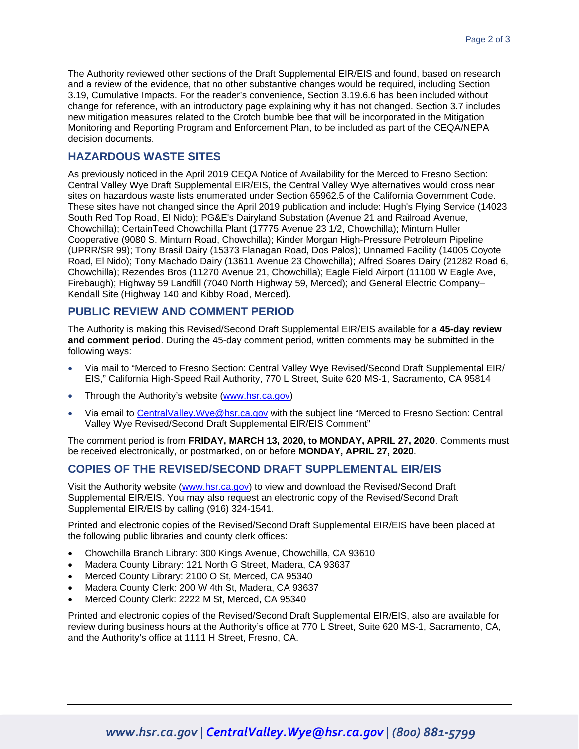The Authority reviewed other sections of the Draft Supplemental EIR/EIS and found, based on research and a review of the evidence, that no other substantive changes would be required, including Section 3.19, Cumulative Impacts. For the reader's convenience, Section 3.19.6.6 has been included without change for reference, with an introductory page explaining why it has not changed. Section 3.7 includes new mitigation measures related to the Crotch bumble bee that will be incorporated in the Mitigation Monitoring and Reporting Program and Enforcement Plan, to be included as part of the CEQA/NEPA decision documents.

#### **HAZARDOUS WASTE SITES**

As previously noticed in the April 2019 CEQA Notice of Availability for the Merced to Fresno Section: Central Valley Wye Draft Supplemental EIR/EIS, the Central Valley Wye alternatives would cross near sites on hazardous waste lists enumerated under Section 65962.5 of the California Government Code. These sites have not changed since the April 2019 publication and include: Hugh's Flying Service (14023 South Red Top Road, El Nido); PG&E's Dairyland Substation (Avenue 21 and Railroad Avenue, Chowchilla); CertainTeed Chowchilla Plant (17775 Avenue 23 1/2, Chowchilla); Minturn Huller Cooperative (9080 S. Minturn Road, Chowchilla); Kinder Morgan High-Pressure Petroleum Pipeline (UPRR/SR 99); Tony Brasil Dairy (15373 Flanagan Road, Dos Palos); Unnamed Facility (14005 Coyote Road, El Nido); Tony Machado Dairy (13611 Avenue 23 Chowchilla); Alfred Soares Dairy (21282 Road 6, Chowchilla); Rezendes Bros (11270 Avenue 21, Chowchilla); Eagle Field Airport (11100 W Eagle Ave, Firebaugh); Highway 59 Landfill (7040 North Highway 59, Merced); and General Electric Company– Kendall Site (Highway 140 and Kibby Road, Merced).

#### **PUBLIC REVIEW AND COMMENT PERIOD**

The Authority is making this Revised/Second Draft Supplemental EIR/EIS available for a **45-day review and comment period**. During the 45-day comment period, written comments may be submitted in the following ways:

- Via mail to "Merced to Fresno Section: Central Valley Wye Revised/Second Draft Supplemental EIR/ EIS," California High-Speed Rail Authority, 770 L Street, Suite 620 MS-1, Sacramento, CA 95814
- Through the Authority's website [\(www.hsr.ca.gov\)](http://www.hsr.ca.gov/)
- Via email to [CentralValley.Wye@hsr.ca.gov](mailto:CentralValley.Wye@hsr.ca.gov) with the subject line "Merced to Fresno Section: Central Valley Wye Revised/Second Draft Supplemental EIR/EIS Comment"

The comment period is from **FRIDAY, MARCH 13, 2020, to MONDAY, APRIL 27, 2020**. Comments must be received electronically, or postmarked, on or before **MONDAY, APRIL 27, 2020**.

#### **COPIES OF THE REVISED/SECOND DRAFT SUPPLEMENTAL EIR/EIS**

Visit the Authority website [\(www.hsr.ca.gov\)](http://www.hsr.ca.gov/) to view and download the Revised/Second Draft Supplemental EIR/EIS. You may also request an electronic copy of the Revised/Second Draft Supplemental EIR/EIS by calling (916) 324-1541.

Printed and electronic copies of the Revised/Second Draft Supplemental EIR/EIS have been placed at the following public libraries and county clerk offices:

- Chowchilla Branch Library: 300 Kings Avenue, Chowchilla, CA 93610
- Madera County Library: 121 North G Street, Madera, CA 93637
- Merced County Library: 2100 O St, Merced, CA 95340
- Madera County Clerk: 200 W 4th St, Madera, CA 93637
- Merced County Clerk: 2222 M St, Merced, CA 95340

Printed and electronic copies of the Revised/Second Draft Supplemental EIR/EIS, also are available for review during business hours at the Authority's office at 770 L Street, Suite 620 MS-1, Sacramento, CA, and the Authority's office at 1111 H Street, Fresno, CA.

## *www.hsr.ca.gov | CentralValley.Wye@hsr.ca.gov | (800) 881-5799*